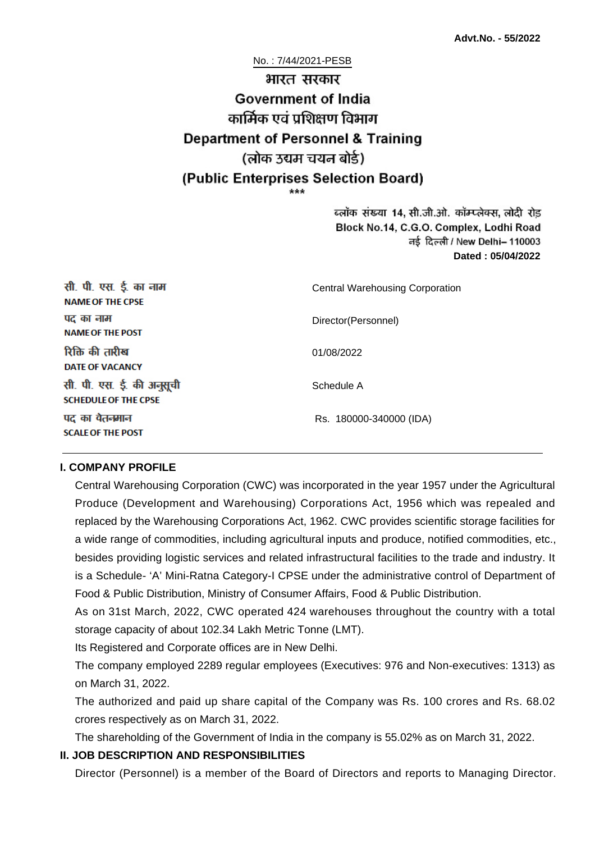No. : 7/44/2021-PESB

# भारत सरकार **Government of India** कार्मिक एवं पशिक्षण विभाग **Department of Personnel & Training** (लोक उद्यम चयन बोर्ड) (Public Enterprises Selection Board)

ब्लॉक संख्या 14, सी.जी.ओ. कॉम्प्लेक्स, लोदी रोड Block No.14, C.G.O. Complex, Lodhi Road ਰई दिल्ली / New Delhi– 110003 **Dated : 05/04/2022**

| सी. पी. एस. ई. का नाम<br><b>NAME OF THE CPSE</b>         | <b>Central Warehousing Corporation</b> |  |
|----------------------------------------------------------|----------------------------------------|--|
| पद का नाम<br><b>NAME OF THE POST</b>                     | Director(Personnel)                    |  |
| रिक्ति की तारीख<br><b>DATE OF VACANCY</b>                | 01/08/2022                             |  |
| सी. पी. एस. ई. की अनुसूची<br><b>SCHEDULE OF THE CPSE</b> | Schedule A                             |  |
| पद का वेतनमान<br><b>SCALE OF THE POST</b>                | Rs. 180000-340000 (IDA)                |  |

#### **I. COMPANY PROFILE**

Central Warehousing Corporation (CWC) was incorporated in the year 1957 under the Agricultural Produce (Development and Warehousing) Corporations Act, 1956 which was repealed and replaced by the Warehousing Corporations Act, 1962. CWC provides scientific storage facilities for a wide range of commodities, including agricultural inputs and produce, notified commodities, etc., besides providing logistic services and related infrastructural facilities to the trade and industry. It is a Schedule- 'A' Mini-Ratna Category-I CPSE under the administrative control of Department of Food & Public Distribution, Ministry of Consumer Affairs, Food & Public Distribution.

As on 31st March, 2022, CWC operated 424 warehouses throughout the country with a total storage capacity of about 102.34 Lakh Metric Tonne (LMT).

Its Registered and Corporate offices are in New Delhi.

The company employed 2289 regular employees (Executives: 976 and Non-executives: 1313) as on March 31, 2022.

The authorized and paid up share capital of the Company was Rs. 100 crores and Rs. 68.02 crores respectively as on March 31, 2022.

The shareholding of the Government of India in the company is 55.02% as on March 31, 2022.

#### **II. JOB DESCRIPTION AND RESPONSIBILITIES**

Director (Personnel) is a member of the Board of Directors and reports to Managing Director.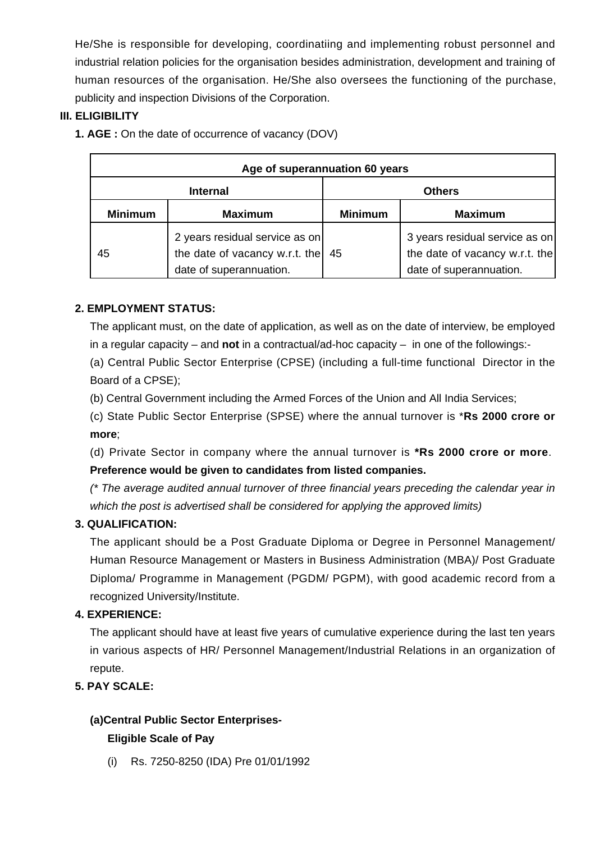He/She is responsible for developing, coordinatiing and implementing robust personnel and industrial relation policies for the organisation besides administration, development and training of human resources of the organisation. He/She also oversees the functioning of the purchase, publicity and inspection Divisions of the Corporation.

#### **III. ELIGIBILITY**

**1. AGE :** On the date of occurrence of vacancy (DOV)

| Age of superannuation 60 years |                                                                                             |                |                                                                                             |  |
|--------------------------------|---------------------------------------------------------------------------------------------|----------------|---------------------------------------------------------------------------------------------|--|
| <b>Internal</b>                |                                                                                             | <b>Others</b>  |                                                                                             |  |
| <b>Minimum</b>                 | <b>Maximum</b>                                                                              | <b>Minimum</b> | <b>Maximum</b>                                                                              |  |
| 45                             | 2 years residual service as on<br>the date of vacancy w.r.t. the<br>date of superannuation. | 45             | 3 years residual service as on<br>the date of vacancy w.r.t. the<br>date of superannuation. |  |

## **2. EMPLOYMENT STATUS:**

The applicant must, on the date of application, as well as on the date of interview, be employed in a regular capacity – and **not** in a contractual/ad-hoc capacity – in one of the followings:-

(a) Central Public Sector Enterprise (CPSE) (including a full-time functional Director in the Board of a CPSE);

(b) Central Government including the Armed Forces of the Union and All India Services;

(c) State Public Sector Enterprise (SPSE) where the annual turnover is \***Rs 2000 crore or more**;

(d) Private Sector in company where the annual turnover is **\*Rs 2000 crore or more**. **Preference would be given to candidates from listed companies.**

(\* The average audited annual turnover of three financial years preceding the calendar year in which the post is advertised shall be considered for applying the approved limits)

## **3. QUALIFICATION:**

The applicant should be a Post Graduate Diploma or Degree in Personnel Management/ Human Resource Management or Masters in Business Administration (MBA)/ Post Graduate Diploma/ Programme in Management (PGDM/ PGPM), with good academic record from a recognized University/Institute.

## **4. EXPERIENCE:**

The applicant should have at least five years of cumulative experience during the last ten years in various aspects of HR/ Personnel Management/Industrial Relations in an organization of repute.

#### **5. PAY SCALE:**

## **(a)Central Public Sector Enterprises-Eligible Scale of Pay**

(i) Rs. 7250-8250 (IDA) Pre 01/01/1992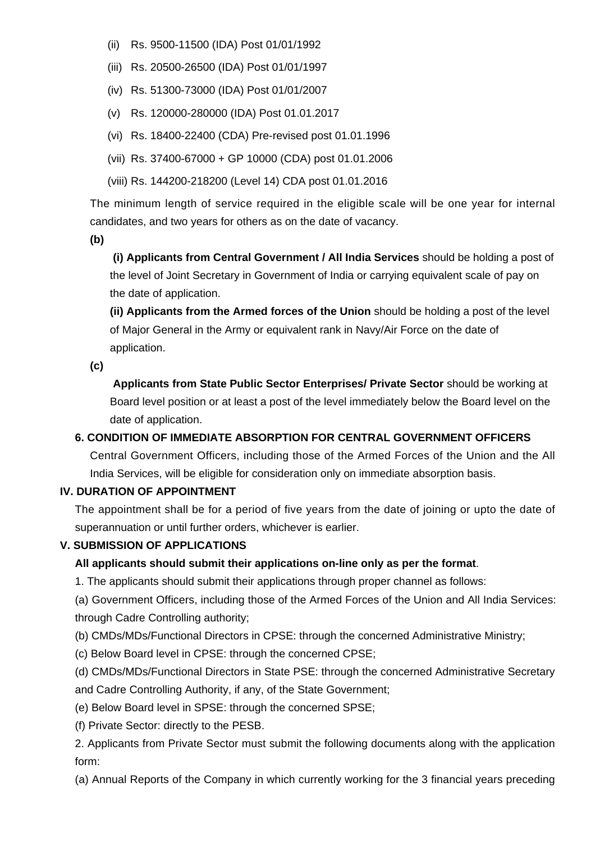- (ii) Rs. 9500-11500 (IDA) Post 01/01/1992
- (iii) Rs. 20500-26500 (IDA) Post 01/01/1997
- (iv) Rs. 51300-73000 (IDA) Post 01/01/2007
- (v) Rs. 120000-280000 (IDA) Post 01.01.2017
- (vi) Rs. 18400-22400 (CDA) Pre-revised post 01.01.1996
- (vii) Rs. 37400-67000 + GP 10000 (CDA) post 01.01.2006
- (viii) Rs. 144200-218200 (Level 14) CDA post 01.01.2016

The minimum length of service required in the eligible scale will be one year for internal candidates, and two years for others as on the date of vacancy.

**(b)**

**(i) Applicants from Central Government / All India Services** should be holding a post of the level of Joint Secretary in Government of India or carrying equivalent scale of pay on the date of application.

**(ii) Applicants from the Armed forces of the Union** should be holding a post of the level of Major General in the Army or equivalent rank in Navy/Air Force on the date of application.

**(c)**

 **Applicants from State Public Sector Enterprises/ Private Sector** should be working at Board level position or at least a post of the level immediately below the Board level on the date of application.

## **6. CONDITION OF IMMEDIATE ABSORPTION FOR CENTRAL GOVERNMENT OFFICERS**

Central Government Officers, including those of the Armed Forces of the Union and the All India Services, will be eligible for consideration only on immediate absorption basis.

## **IV. DURATION OF APPOINTMENT**

The appointment shall be for a period of five years from the date of joining or upto the date of superannuation or until further orders, whichever is earlier.

#### **V. SUBMISSION OF APPLICATIONS**

## **All applicants should submit their applications on-line only as per the format**.

1. The applicants should submit their applications through proper channel as follows:

(a) Government Officers, including those of the Armed Forces of the Union and All India Services: through Cadre Controlling authority;

- (b) CMDs/MDs/Functional Directors in CPSE: through the concerned Administrative Ministry;
- (c) Below Board level in CPSE: through the concerned CPSE;

(d) CMDs/MDs/Functional Directors in State PSE: through the concerned Administrative Secretary and Cadre Controlling Authority, if any, of the State Government;

- (e) Below Board level in SPSE: through the concerned SPSE;
- (f) Private Sector: directly to the PESB.

2. Applicants from Private Sector must submit the following documents along with the application form:

(a) Annual Reports of the Company in which currently working for the 3 financial years preceding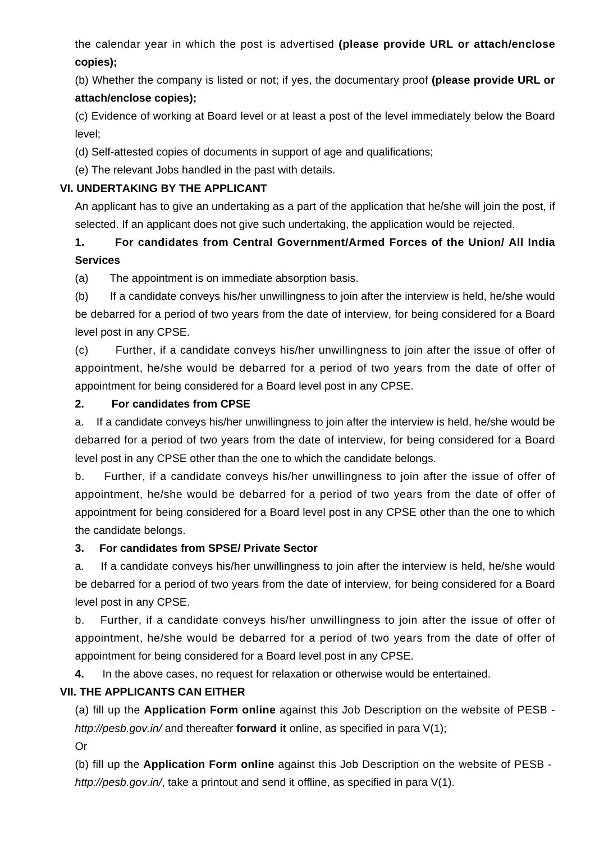the calendar year in which the post is advertised **(please provide URL or attach/enclose copies);**

(b) Whether the company is listed or not; if yes, the documentary proof **(please provide URL or attach/enclose copies);**

(c) Evidence of working at Board level or at least a post of the level immediately below the Board level;

(d) Self-attested copies of documents in support of age and qualifications;

(e) The relevant Jobs handled in the past with details.

#### **VI. UNDERTAKING BY THE APPLICANT**

An applicant has to give an undertaking as a part of the application that he/she will join the post, if selected. If an applicant does not give such undertaking, the application would be rejected.

## **1. For candidates from Central Government/Armed Forces of the Union/ All India Services**

(a) The appointment is on immediate absorption basis.

(b) If a candidate conveys his/her unwillingness to join after the interview is held, he/she would be debarred for a period of two years from the date of interview, for being considered for a Board level post in any CPSE.

(c) Further, if a candidate conveys his/her unwillingness to join after the issue of offer of appointment, he/she would be debarred for a period of two years from the date of offer of appointment for being considered for a Board level post in any CPSE.

#### **2. For candidates from CPSE**

a. If a candidate conveys his/her unwillingness to join after the interview is held, he/she would be debarred for a period of two years from the date of interview, for being considered for a Board level post in any CPSE other than the one to which the candidate belongs.

b. Further, if a candidate conveys his/her unwillingness to join after the issue of offer of appointment, he/she would be debarred for a period of two years from the date of offer of appointment for being considered for a Board level post in any CPSE other than the one to which the candidate belongs.

#### **3. For candidates from SPSE/ Private Sector**

a. If a candidate conveys his/her unwillingness to join after the interview is held, he/she would be debarred for a period of two years from the date of interview, for being considered for a Board level post in any CPSE.

b. Further, if a candidate conveys his/her unwillingness to join after the issue of offer of appointment, he/she would be debarred for a period of two years from the date of offer of appointment for being considered for a Board level post in any CPSE.

**4.** In the above cases, no request for relaxation or otherwise would be entertained.

## **VII. THE APPLICANTS CAN EITHER**

(a) fill up the **Application Form online** against this Job Description on the website of PESB http://pesb.gov.in/ and thereafter **forward it** online, as specified in para V(1);

Or

(b) fill up the **Application Form online** against this Job Description on the website of PESB http://pesb.gov.in/, take a printout and send it offline, as specified in para V(1).